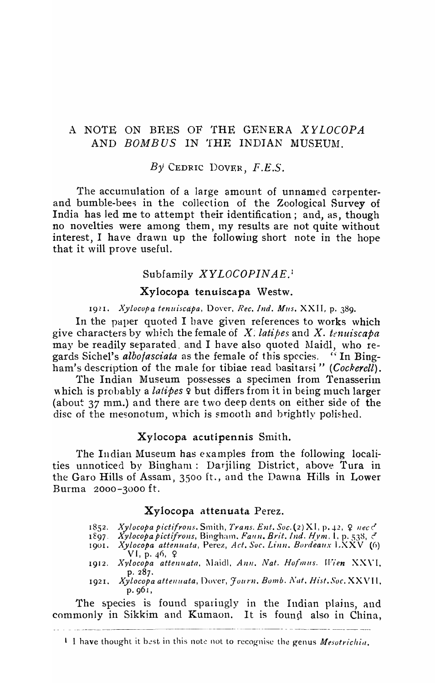## A NOTE ON BEES OF THE GENERA *XYLOCOPA*  AND *BOMBUS* IN THE INDIAN MUSEUM.

### *B'y* CEDRIC I)OVEH, *F.E.S.*

The accurnulation of a large amount of unnamed carpenterand bumble-bees in the collection of the Zoological Survey of India has led me to attempt their identification; and, as, though no novelties were among them, Iny results are not quite without interest, I have drawn up the following short note in the hope that it will prove useful.

### Subfamily *XYLOCOPINAE.:*

#### Xylocopa tenuiscapa Westw.

1921. *Xylocopa tenuiscapa*, Dover, *Rec. Ind. Mus.* XXII, p. 389.

In the paper quoted I have given references to works which give characters by which the female of X. *latipes* and X. *tenuiscapa* may be readily separated, and I have also quoted Maidl, who regards Sichel's *albofasciata* as the female of this species. (1 In Bingham's description of the male for tibiae read basitarsi" *(Cockerell)*.

The Indian Museum possesses a specimen from Tenasserim which is probably a *latipes*  $9$  but differs from it in being much larger (about  $37$  mm.) and there are two deep dents on either side of the disc of the mesonotum, which is smooth and brightly polished.

#### Xylocopa acutipennis Smith.

The Indian Museum has examples from the following localities unnoticed by Bingham: Darjiling District, above Tura in the Garo Hills of Assam, 3500 ft., and the Dawna Hills in Lower Burma 2000-3000 ft.

#### Xylocopa attenuata Perez.

- 1852. *Xylocopa pictifrons.* Smith, *Trans. Ent. Soc.* (2) XI, p. 42,  $Q$  nec  $C$
- 1897  *Xylocopa pictifrons, Bingham. Faun. Brit. Ind. Hym. 1, p. 538, 3*
- 1901. *Xylocopa attenuata, Perez, Act. Soc. Linn. Bordeaux LXXV* (6)  $VI, p. 46, 9$
- 1912. *Xylocopa attenuata*, Maidl, Ann. Nat. Hofmus. Wien XXVI, p. 287.
- 1921. Xylocopa attenuata, Dover, Journ. Bomb. Nat. Hist. Soc. XXVII, p. 961,

The species is found sparingly in the Indian plains, and commonly in Sikkim and Kumaon. It is found also in China,

<sup>1</sup> I have thought it best in this note not to recognise the genus *Mesotrichia*.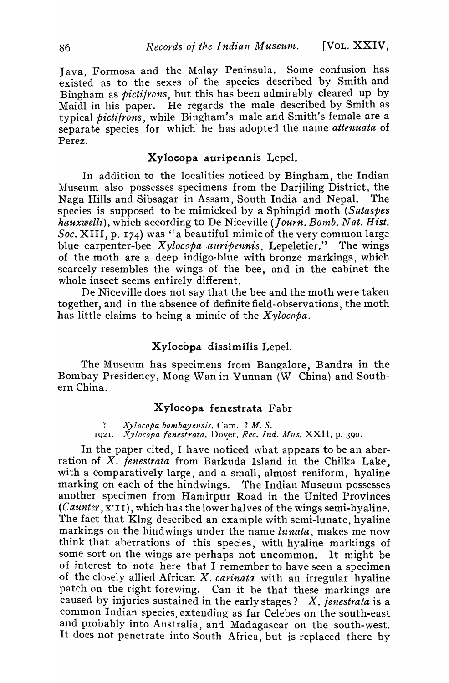Java, Formosa and the Malay Peninsula. Some confusion has existed as to the sexes of the species described by Smith and Bingham as *picti/rons,* but this has been admirably cleared up by Maidl in his paper. He regards the male described by Smith as typical *pictifrons*, while Bingham's male and Smith's female are a separate species for which he has adopted the name *attenuata* of Perez.

### Xylocopa auripennis Lepel.

In addition to the localities noticed by Bingham, the Indian Museum also possesses specimens from the Darjiling District, the Naga Hills and Sibsagar in Assam, South India and Nepal. The species is supposed to be mimicked by a Sphingid moth *(Sataspes hauxwelli*), which according to De Niceville (Journ. Bomb. Nat. Hist. *Soc.* XIII, p. 174) was "a beautiful mimic of the very common large blue carpenter-bee *Xylocopa auripennis*, Lepeletier." The wings of the moth are a deep indigo-hlue with bronze markings, which scarcely resembles the wings of the bee, and in the cabinet the whole insect seems entirely different.

De Niceville does not say that the bee and the moth were taken together, and in the absence of definite field-observations, the moth has little claims to being a mimic of the *Xylocopa*.

## Xylocopa dissimilis Lepel.

The Museum has specimens from Bangalore, Bandra in the Bombay Presidency, Mong-Wan in Yunnan (W China) and Southern China.

### Xylocopa fenestrata Fabr

., *Xylocopa bombayensis,* Cam. ? *M. S.*  1921. *Xylocopa fenestrata*, Dover, *Rec. Ind. Mus.* XXII, p. 390.

In the paper cited, I have noticed what appears to be an aberration of X. *fenestrata* from Barkuda Island in the Chilka Lake, with a comparatively large, and a small, almost reniform, hyaline marking on each of the hindwings. The Indian Museum possesses another specimen from Hamirpur Road in the United Provinces *(Caunter, x'II), which has the lower halves of the wings semi-hyaline.* The fact that Klng described an example with semi-lunate, hyaline markings on the hindwings under the name *lunata*, makes me now think that aberrations of this species, with hyaline markings of some sort on the wings are perhaps not uncommon. It might be of interest to note here that I remember to have seen a specimen of the closely allied African X. *carinata* with an irregular hyaline patch on the right forewing. Can it be that these markings are caused by injuries sustained in the early stages? X. *fenestrata* is a common Indian species extending as far Celebes on the south-east and probably into Australia, and Madagascar on the south-west. It does not penetrate into South Africa, but is replaced there by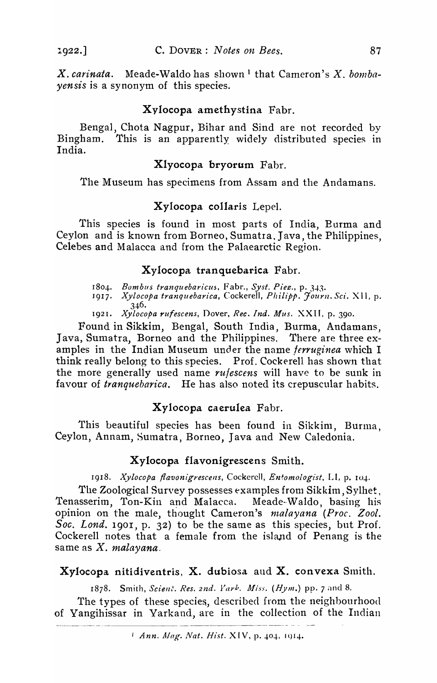X. carinata. Meade-Waldo has shown<sup>1</sup> that Cameron's X. bomba*yensis* is a synonym of this species.

# Xvlocopa amethystina Fabr.

Bengal, Chota Nagpur, Bihar and Sind are not recorded by Bingham. This is an apparently widely distributed species in India.

# Xlyocopa bryorum Fabr.

The Museum has specimens from Assam and the Andamans.

# Xylocopa collaris Lepel.

This species is found in most parts of India, Burma and Ceylon and is known from Borneo, Sumatra, Java, the Philippines, Celebes and Malacca and from the Palaearctic Region.

## Xylocopa tranquebarica Fabr.

- 1804. *Bombus tranquebaricus*, Fabr., *Syst. Piez.*, p. 343.
- 1917. *Xylocopa tranquebarica, Cockerell, Philipp. Journ. Sci. XII, p.* 346.
- 19*<sup>2</sup>* 1. *Xylocopa rufescens,* Dover, *Rec. Ind. Mus.* XXII. p. 390.

Found in Sikkim, Bengal, South India, Burma, Andamans, Java, Sumatra, Borneo and the Philippines. There are three examples in the Indian Museum under the name *ferruginea* which I think really belong to this species. Prof. Cockerell has shown that the more generally used name *rufescens* will have to be sunk in favour of *tranquebarica*. He has also noted its crepuscular habits.

## Xylocopa caerulea Fabr.

This beautiful species has been found in Sikkim, Burma, Ceylon, Annam, Sumatra, Borneo, Java and New Caledonia.

## Xylocopa flavonigrescens Smith.

1918. *Xylocopa jlavonigrescens,* Cockerell, *Entomologist,* LI, p. 10+.

The Zoological Survey possesses examples from Sikkim, Sylhet, Tenasserim, Ton-Kin and Malacca. Meade-Waldo, basing his opinion on the male, thought Cameron's *malayana (Proc. Zool. Soc. Lond.* 190r, p. 32) to be the same as this species, but Prof. Cockerell notes that a female from the island of Penang is the same as X. *malayana.* 

# Xylocopa nitidiventris, X. dubiosa and X. convexa Smith.

1878. Smith, *Scient. Res. 2nd. Yark. Miss. (Hym.*) pp. 7 and 8.

The types of these species, described from the neighbourhood of Yangihissar in Yarkand, are in the collection of the Indian

*I Ann. Mag. Nat. Hist.* XIV, p. 404, 1014.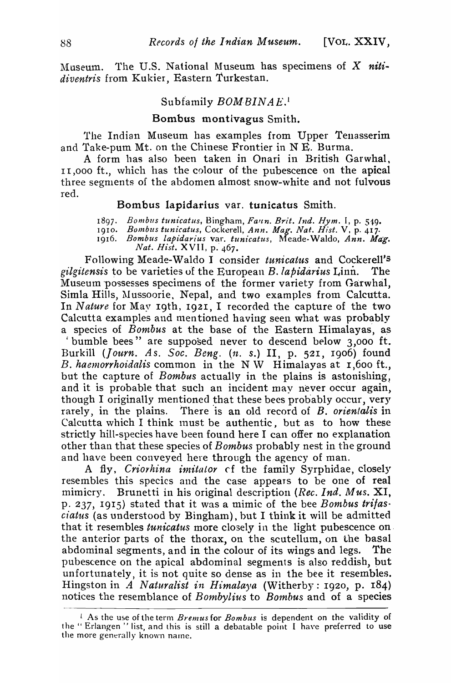The U.S. National Museum has specimens of  $X$  niti-Museum. diventris from Kukier, Eastern Turkestan.

#### Subfamily BOM BINAE.

### Bombus montivagus Smith.

The Indian Museum has examples from Upper Tenasserim and Take-pum Mt. on the Chinese Frontier in N E. Burma.

A form has also been taken in Onari in British Garwhal, 11,000 ft., which has the colour of the pubescence on the apical three segments of the abdomen almost snow-white and not fulvous red.

#### Bombus lapidarius var. tunicatus Smith.

1897.

1010.

Bombus tunicatus, Bingham, Faun. Brit. Ind. Hym. I, p. 549.<br>Bombus tunicatus, Cockerell, Ann. Mag. Nat. Hist. V, p. 417.<br>Bombus lapidarius var. tunicatus, Meade-Waldo, Ann. Mag.<br>Nat. Hist. XVII, p. 467. 1916.

Following Meade-Waldo I consider tunicatus and Cockerell's gilgitensis to be varieties of the European B. lapidarius Linn. The Museum possesses specimens of the former variety from Garwhal, Simla Hills, Mussoorie, Nepal, and two examples from Calcutta. In Nature for May 19th, 1921, I recorded the capture of the two Calcutta examples and mentioned having seen what was probably a species of Bombus at the base of the Eastern Himalayas, as

'bumble bees" are supposed never to descend below 3,000 ft. Burkill (Journ. As. Soc. Beng. (n. s.) II, p. 521, 1906) found B. haemorrhoidalis common in the NW Himalayas at 1,600 ft., but the capture of *Bombus* actually in the plains is astonishing, and it is probable that such an incident may never occur again, though I originally mentioned that these bees probably occur, very rarely, in the plains. There is an old record of B. orientalis in Calcutta which I think must be authentic, but as to how these strictly hill-species have been found here I can offer no explanation other than that these species of *Bombus* probably nest in the ground and have been conveyed here through the agency of man.

A fly, Criorhina imitator of the family Syrphidae, closely resembles this species and the case appears to be one of real Brunetti in his original description (Rec. Ind. Mus. XI, mimicry. p. 237, 1915) stated that it was a mimic of the bee Bombus trifas. ciatus (as understood by Bingham), but I think it will be admitted that it resembles *tunicatus* more closely in the light pubescence on the anterior parts of the thorax, on the scutellum, on the basal abdominal segments, and in the colour of its wings and legs. The pubescence on the apical abdominal segments is also reddish, but unfortunately, it is not quite so dense as in the bee it resembles. Hingston in A Naturalist in Himalaya (Witherby: 1920, p. 184) notices the resemblance of *Bombylius* to *Bombus* and of a species

<sup>&</sup>lt;sup>1</sup> As the use of the term *Bremus* for *Bombus* is dependent on the validity of the "Erlangen" list, and this is still a debatable point I have preferred to use the more generally known name.